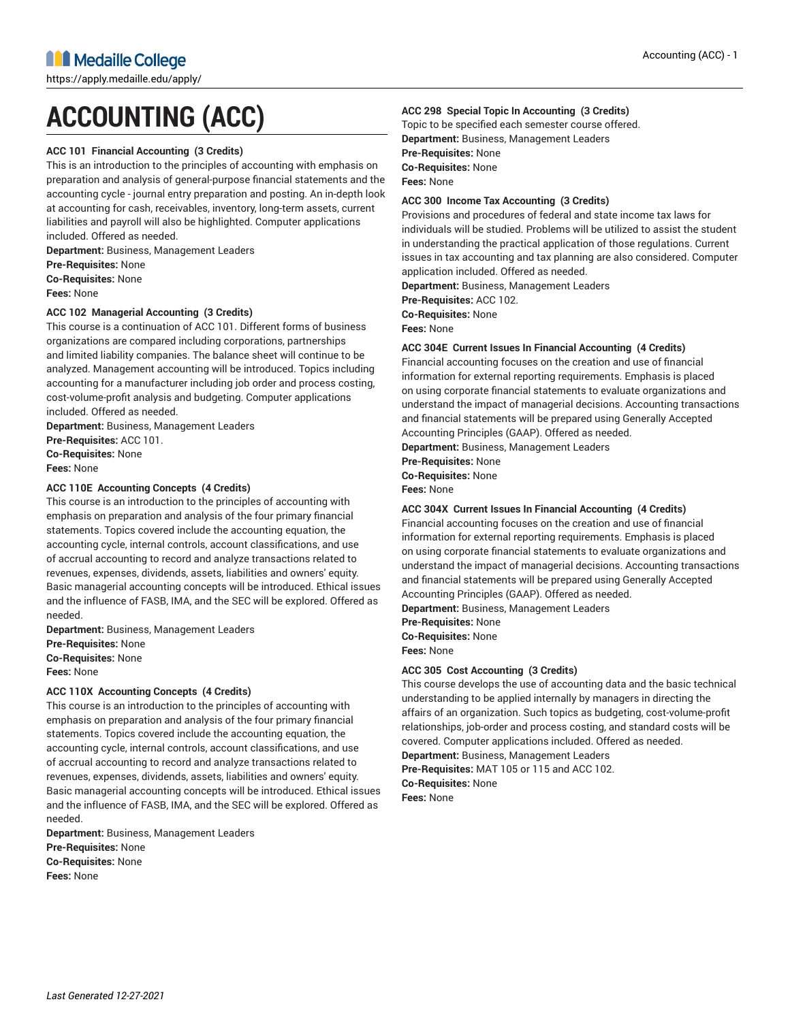# **ACCOUNTING (ACC)**

#### **ACC 101 Financial Accounting (3 Credits)**

This is an introduction to the principles of accounting with emphasis on preparation and analysis of general-purpose financial statements and the accounting cycle - journal entry preparation and posting. An in-depth look at accounting for cash, receivables, inventory, long-term assets, current liabilities and payroll will also be highlighted. Computer applications included. Offered as needed.

**Department:** Business, Management Leaders **Pre-Requisites:** None **Co-Requisites:** None

**Fees:** None

#### **ACC 102 Managerial Accounting (3 Credits)**

This course is a continuation of ACC 101. Different forms of business organizations are compared including corporations, partnerships and limited liability companies. The balance sheet will continue to be analyzed. Management accounting will be introduced. Topics including accounting for a manufacturer including job order and process costing, cost-volume-profit analysis and budgeting. Computer applications included. Offered as needed.

**Department:** Business, Management Leaders

**Pre-Requisites:** ACC 101.

**Co-Requisites:** None **Fees:** None

#### **ACC 110E Accounting Concepts (4 Credits)**

This course is an introduction to the principles of accounting with emphasis on preparation and analysis of the four primary financial statements. Topics covered include the accounting equation, the accounting cycle, internal controls, account classifications, and use of accrual accounting to record and analyze transactions related to revenues, expenses, dividends, assets, liabilities and owners' equity. Basic managerial accounting concepts will be introduced. Ethical issues and the influence of FASB, IMA, and the SEC will be explored. Offered as needed.

**Department:** Business, Management Leaders

**Pre-Requisites:** None **Co-Requisites:** None

**Fees:** None

#### **ACC 110X Accounting Concepts (4 Credits)**

This course is an introduction to the principles of accounting with emphasis on preparation and analysis of the four primary financial statements. Topics covered include the accounting equation, the accounting cycle, internal controls, account classifications, and use of accrual accounting to record and analyze transactions related to revenues, expenses, dividends, assets, liabilities and owners' equity. Basic managerial accounting concepts will be introduced. Ethical issues and the influence of FASB, IMA, and the SEC will be explored. Offered as needed.

**Department:** Business, Management Leaders **Pre-Requisites:** None **Co-Requisites:** None **Fees:** None

#### **ACC 298 Special Topic In Accounting (3 Credits)**

Topic to be specified each semester course offered. **Department:** Business, Management Leaders **Pre-Requisites:** None **Co-Requisites:** None **Fees:** None

#### **ACC 300 Income Tax Accounting (3 Credits)**

Provisions and procedures of federal and state income tax laws for individuals will be studied. Problems will be utilized to assist the student in understanding the practical application of those regulations. Current issues in tax accounting and tax planning are also considered. Computer application included. Offered as needed.

**Department:** Business, Management Leaders

**Pre-Requisites:** ACC 102.

**Co-Requisites:** None

**Fees:** None

#### **ACC 304E Current Issues In Financial Accounting (4 Credits)**

Financial accounting focuses on the creation and use of financial information for external reporting requirements. Emphasis is placed on using corporate financial statements to evaluate organizations and understand the impact of managerial decisions. Accounting transactions and financial statements will be prepared using Generally Accepted Accounting Principles (GAAP). Offered as needed.

**Department:** Business, Management Leaders

**Pre-Requisites:** None

**Co-Requisites:** None

**Fees:** None

#### **ACC 304X Current Issues In Financial Accounting (4 Credits)**

Financial accounting focuses on the creation and use of financial information for external reporting requirements. Emphasis is placed on using corporate financial statements to evaluate organizations and understand the impact of managerial decisions. Accounting transactions and financial statements will be prepared using Generally Accepted Accounting Principles (GAAP). Offered as needed.

**Department:** Business, Management Leaders **Pre-Requisites:** None

**Co-Requisites:** None **Fees:** None

#### **ACC 305 Cost Accounting (3 Credits)**

This course develops the use of accounting data and the basic technical understanding to be applied internally by managers in directing the affairs of an organization. Such topics as budgeting, cost-volume-profit relationships, job-order and process costing, and standard costs will be covered. Computer applications included. Offered as needed. **Department:** Business, Management Leaders **Pre-Requisites:** MAT 105 or 115 and ACC 102.

**Co-Requisites:** None

**Fees:** None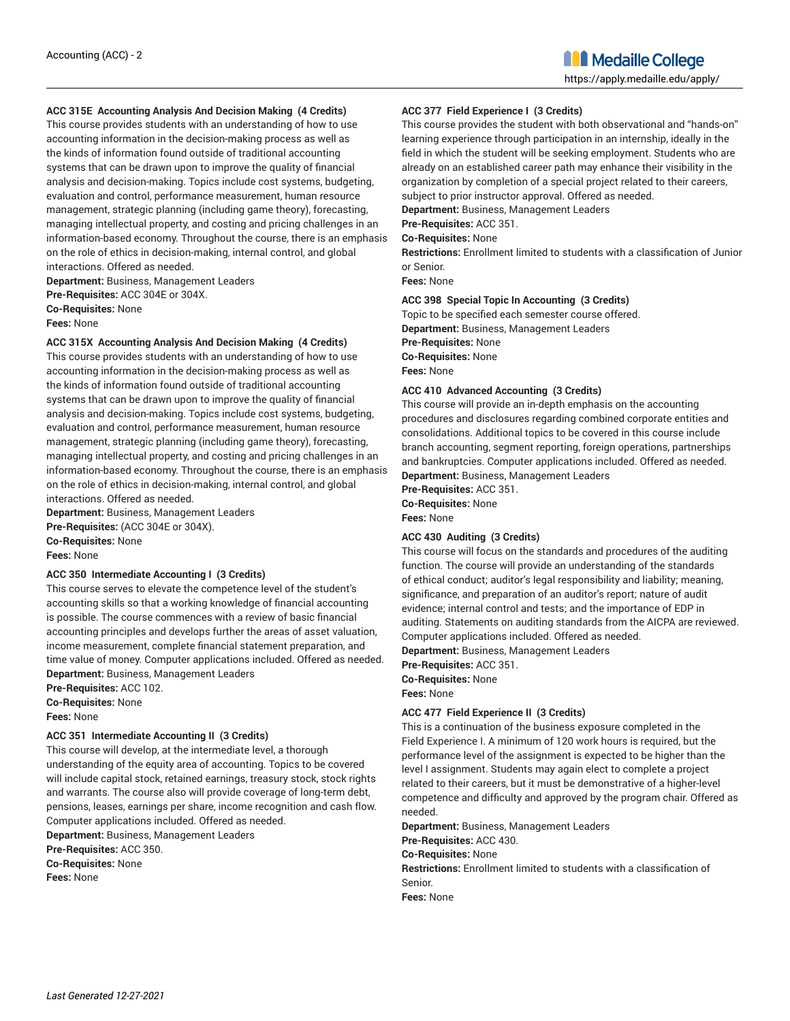#### **ACC 315E Accounting Analysis And Decision Making (4 Credits)**

This course provides students with an understanding of how to use accounting information in the decision-making process as well as the kinds of information found outside of traditional accounting systems that can be drawn upon to improve the quality of financial analysis and decision-making. Topics include cost systems, budgeting, evaluation and control, performance measurement, human resource management, strategic planning (including game theory), forecasting, managing intellectual property, and costing and pricing challenges in an information-based economy. Throughout the course, there is an emphasis on the role of ethics in decision-making, internal control, and global interactions. Offered as needed.

**Department:** Business, Management Leaders **Pre-Requisites:** ACC 304E or 304X. **Co-Requisites:** None **Fees:** None

**ACC 315X Accounting Analysis And Decision Making (4 Credits)**

This course provides students with an understanding of how to use accounting information in the decision-making process as well as the kinds of information found outside of traditional accounting systems that can be drawn upon to improve the quality of financial analysis and decision-making. Topics include cost systems, budgeting, evaluation and control, performance measurement, human resource management, strategic planning (including game theory), forecasting, managing intellectual property, and costing and pricing challenges in an information-based economy. Throughout the course, there is an emphasis on the role of ethics in decision-making, internal control, and global interactions. Offered as needed.

**Department:** Business, Management Leaders **Pre-Requisites:** (ACC 304E or 304X). **Co-Requisites:** None

## **Fees:** None

#### **ACC 350 Intermediate Accounting I (3 Credits)**

This course serves to elevate the competence level of the student's accounting skills so that a working knowledge of financial accounting is possible. The course commences with a review of basic financial accounting principles and develops further the areas of asset valuation, income measurement, complete financial statement preparation, and time value of money. Computer applications included. Offered as needed. **Department:** Business, Management Leaders

**Pre-Requisites:** ACC 102.

**Co-Requisites:** None

**Fees:** None

#### **ACC 351 Intermediate Accounting II (3 Credits)**

This course will develop, at the intermediate level, a thorough understanding of the equity area of accounting. Topics to be covered will include capital stock, retained earnings, treasury stock, stock rights and warrants. The course also will provide coverage of long-term debt, pensions, leases, earnings per share, income recognition and cash flow. Computer applications included. Offered as needed.

**Department:** Business, Management Leaders **Pre-Requisites:** ACC 350. **Co-Requisites:** None

**Fees:** None

#### **ACC 377 Field Experience I (3 Credits)**

This course provides the student with both observational and "hands-on" learning experience through participation in an internship, ideally in the field in which the student will be seeking employment. Students who are already on an established career path may enhance their visibility in the organization by completion of a special project related to their careers, subject to prior instructor approval. Offered as needed.

**Department:** Business, Management Leaders

## **Pre-Requisites:** ACC 351.

**Co-Requisites:** None

**Restrictions:** Enrollment limited to students with a classification of Junior or Senior.

**Fees:** None

#### **ACC 398 Special Topic In Accounting (3 Credits)**

Topic to be specified each semester course offered. **Department:** Business, Management Leaders **Pre-Requisites:** None **Co-Requisites:** None **Fees:** None

#### **ACC 410 Advanced Accounting (3 Credits)**

This course will provide an in-depth emphasis on the accounting procedures and disclosures regarding combined corporate entities and consolidations. Additional topics to be covered in this course include branch accounting, segment reporting, foreign operations, partnerships and bankruptcies. Computer applications included. Offered as needed. **Department:** Business, Management Leaders

**Pre-Requisites:** ACC 351.

**Co-Requisites:** None **Fees:** None

#### **ACC 430 Auditing (3 Credits)**

This course will focus on the standards and procedures of the auditing function. The course will provide an understanding of the standards of ethical conduct; auditor's legal responsibility and liability; meaning, significance, and preparation of an auditor's report; nature of audit evidence; internal control and tests; and the importance of EDP in auditing. Statements on auditing standards from the AICPA are reviewed. Computer applications included. Offered as needed.

**Department:** Business, Management Leaders

**Pre-Requisites:** ACC 351.

**Co-Requisites:** None **Fees:** None

#### **ACC 477 Field Experience II (3 Credits)**

This is a continuation of the business exposure completed in the Field Experience I. A minimum of 120 work hours is required, but the performance level of the assignment is expected to be higher than the level I assignment. Students may again elect to complete a project related to their careers, but it must be demonstrative of a higher-level competence and difficulty and approved by the program chair. Offered as needed.

**Department:** Business, Management Leaders

**Pre-Requisites:** ACC 430.

#### **Co-Requisites:** None

**Restrictions:** Enrollment limited to students with a classification of Senior.

**Fees:** None